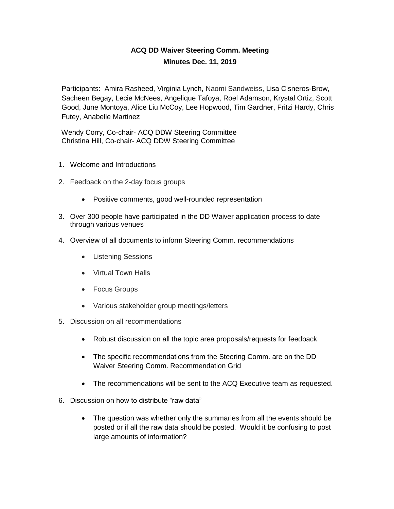## **ACQ DD Waiver Steering Comm. Meeting Minutes Dec. 11, 2019**

Participants: Amira Rasheed, Virginia Lynch, Naomi Sandweiss, Lisa Cisneros-Brow, Sacheen Begay, Lecie McNees, Angelique Tafoya, Roel Adamson, Krystal Ortiz, Scott Good, June Montoya, Alice Liu McCoy, Lee Hopwood, Tim Gardner, Fritzi Hardy, Chris Futey, Anabelle Martinez

 Wendy Corry, Co-chair- ACQ DDW Steering Committee Christina Hill, Co-chair- ACQ DDW Steering Committee

- 1. Welcome and Introductions
- 2. Feedback on the 2-day focus groups
	- Positive comments, good well-rounded representation
- 3. Over 300 people have participated in the DD Waiver application process to date through various venues
- 4. Overview of all documents to inform Steering Comm. recommendations
	- Listening Sessions
	- Virtual Town Halls
	- Focus Groups
	- Various stakeholder group meetings/letters
- 5. Discussion on all recommendations
	- Robust discussion on all the topic area proposals/requests for feedback
	- The specific recommendations from the Steering Comm. are on the DD Waiver Steering Comm. Recommendation Grid
	- The recommendations will be sent to the ACQ Executive team as requested.
- 6. Discussion on how to distribute "raw data"
	- The question was whether only the summaries from all the events should be posted or if all the raw data should be posted. Would it be confusing to post large amounts of information?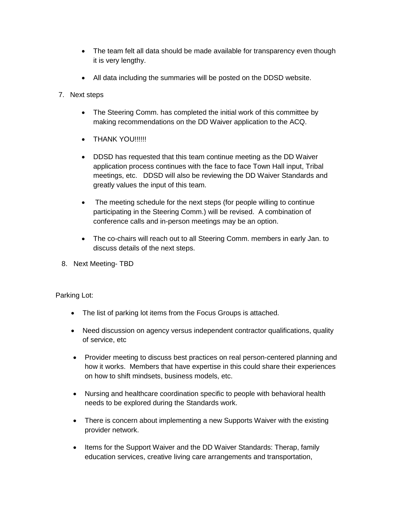- The team felt all data should be made available for transparency even though it is very lengthy.
- All data including the summaries will be posted on the DDSD website.
- 7. Next steps
	- The Steering Comm. has completed the initial work of this committee by making recommendations on the DD Waiver application to the ACQ.
	- THANK YOU!!!!!!!
	- DDSD has requested that this team continue meeting as the DD Waiver application process continues with the face to face Town Hall input, Tribal meetings, etc. DDSD will also be reviewing the DD Waiver Standards and greatly values the input of this team.
	- The meeting schedule for the next steps (for people willing to continue participating in the Steering Comm.) will be revised. A combination of conference calls and in-person meetings may be an option.
	- The co-chairs will reach out to all Steering Comm. members in early Jan. to discuss details of the next steps.
- 8. Next Meeting- TBD

Parking Lot:

- The list of parking lot items from the Focus Groups is attached.
- Need discussion on agency versus independent contractor qualifications, quality of service, etc
- Provider meeting to discuss best practices on real person-centered planning and how it works. Members that have expertise in this could share their experiences on how to shift mindsets, business models, etc.
- Nursing and healthcare coordination specific to people with behavioral health needs to be explored during the Standards work.
- There is concern about implementing a new Supports Waiver with the existing provider network.
- Items for the Support Waiver and the DD Waiver Standards: Therap, family education services, creative living care arrangements and transportation,